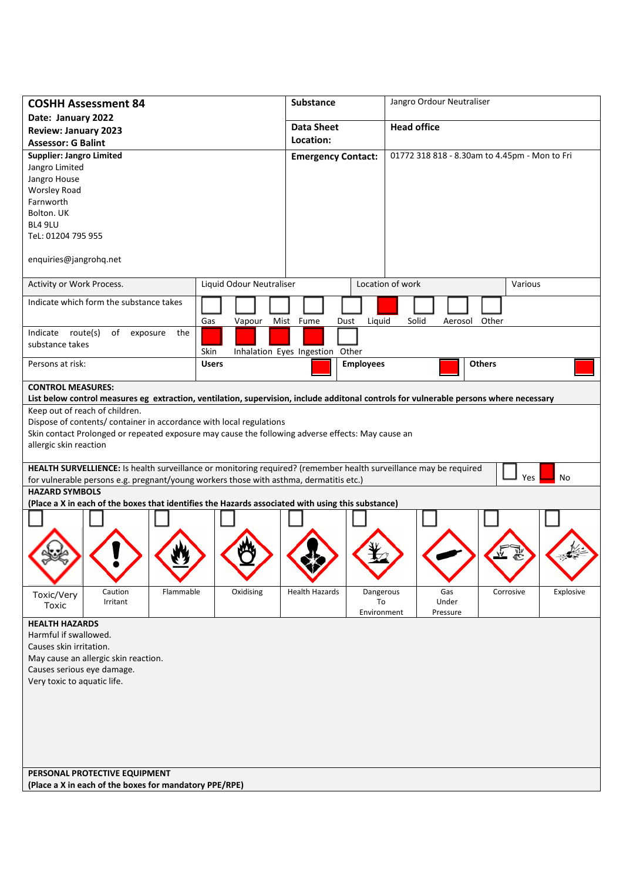| <b>COSHH Assessment 84</b>                                                                                                                                                                                  |                                                                                                   |                 |                          | Substance |                                 | Jangro Ordour Neutraliser |                                                                                                                                        |               |           |           |
|-------------------------------------------------------------------------------------------------------------------------------------------------------------------------------------------------------------|---------------------------------------------------------------------------------------------------|-----------------|--------------------------|-----------|---------------------------------|---------------------------|----------------------------------------------------------------------------------------------------------------------------------------|---------------|-----------|-----------|
| Date: January 2022                                                                                                                                                                                          |                                                                                                   |                 |                          |           | <b>Data Sheet</b>               |                           | <b>Head office</b>                                                                                                                     |               |           |           |
| <b>Review: January 2023</b>                                                                                                                                                                                 |                                                                                                   |                 |                          |           | Location:                       |                           |                                                                                                                                        |               |           |           |
| <b>Assessor: G Balint</b><br><b>Supplier: Jangro Limited</b>                                                                                                                                                |                                                                                                   |                 |                          |           |                                 |                           | 01772 318 818 - 8.30am to 4.45pm - Mon to Fri                                                                                          |               |           |           |
| Jangro Limited                                                                                                                                                                                              |                                                                                                   |                 |                          |           | <b>Emergency Contact:</b>       |                           |                                                                                                                                        |               |           |           |
| Jangro House                                                                                                                                                                                                |                                                                                                   |                 |                          |           |                                 |                           |                                                                                                                                        |               |           |           |
| <b>Worsley Road</b>                                                                                                                                                                                         |                                                                                                   |                 |                          |           |                                 |                           |                                                                                                                                        |               |           |           |
| Farnworth                                                                                                                                                                                                   |                                                                                                   |                 |                          |           |                                 |                           |                                                                                                                                        |               |           |           |
| Bolton. UK                                                                                                                                                                                                  |                                                                                                   |                 |                          |           |                                 |                           |                                                                                                                                        |               |           |           |
| BL4 9LU                                                                                                                                                                                                     |                                                                                                   |                 |                          |           |                                 |                           |                                                                                                                                        |               |           |           |
| TeL: 01204 795 955                                                                                                                                                                                          |                                                                                                   |                 |                          |           |                                 |                           |                                                                                                                                        |               |           |           |
| enquiries@jangrohq.net                                                                                                                                                                                      |                                                                                                   |                 |                          |           |                                 |                           |                                                                                                                                        |               |           |           |
|                                                                                                                                                                                                             |                                                                                                   |                 |                          |           |                                 |                           |                                                                                                                                        |               |           |           |
| Activity or Work Process.                                                                                                                                                                                   |                                                                                                   |                 | Liquid Odour Neutraliser |           |                                 |                           | Location of work                                                                                                                       |               | Various   |           |
|                                                                                                                                                                                                             | Indicate which form the substance takes                                                           |                 |                          |           |                                 |                           |                                                                                                                                        |               |           |           |
|                                                                                                                                                                                                             |                                                                                                   |                 | Gas<br>Vapour            |           | Mist Fume                       | Liquid<br>Dust            | Solid<br>Aerosol                                                                                                                       | Other         |           |           |
| Indicate route(s)                                                                                                                                                                                           | of                                                                                                | exposure<br>the |                          |           |                                 |                           |                                                                                                                                        |               |           |           |
| substance takes                                                                                                                                                                                             |                                                                                                   |                 | Skin                     |           | Inhalation Eyes Ingestion Other |                           |                                                                                                                                        |               |           |           |
| Persons at risk:                                                                                                                                                                                            |                                                                                                   |                 | <b>Users</b>             |           |                                 | <b>Employees</b>          |                                                                                                                                        | <b>Others</b> |           |           |
|                                                                                                                                                                                                             |                                                                                                   |                 |                          |           |                                 |                           |                                                                                                                                        |               |           |           |
| <b>CONTROL MEASURES:</b>                                                                                                                                                                                    |                                                                                                   |                 |                          |           |                                 |                           | List below control measures eg extraction, ventilation, supervision, include additonal controls for vulnerable persons where necessary |               |           |           |
| Keep out of reach of children.                                                                                                                                                                              |                                                                                                   |                 |                          |           |                                 |                           |                                                                                                                                        |               |           |           |
|                                                                                                                                                                                                             | Dispose of contents/ container in accordance with local regulations                               |                 |                          |           |                                 |                           |                                                                                                                                        |               |           |           |
|                                                                                                                                                                                                             | Skin contact Prolonged or repeated exposure may cause the following adverse effects: May cause an |                 |                          |           |                                 |                           |                                                                                                                                        |               |           |           |
| allergic skin reaction                                                                                                                                                                                      |                                                                                                   |                 |                          |           |                                 |                           |                                                                                                                                        |               |           |           |
|                                                                                                                                                                                                             |                                                                                                   |                 |                          |           |                                 |                           |                                                                                                                                        |               |           |           |
| HEALTH SURVELLIENCE: Is health surveillance or monitoring required? (remember health surveillance may be required<br>for vulnerable persons e.g. pregnant/young workers those with asthma, dermatitis etc.) |                                                                                                   |                 |                          |           |                                 |                           | Yes                                                                                                                                    | No            |           |           |
| <b>HAZARD SYMBOLS</b>                                                                                                                                                                                       |                                                                                                   |                 |                          |           |                                 |                           |                                                                                                                                        |               |           |           |
|                                                                                                                                                                                                             | (Place a X in each of the boxes that identifies the Hazards associated with using this substance) |                 |                          |           |                                 |                           |                                                                                                                                        |               |           |           |
|                                                                                                                                                                                                             |                                                                                                   |                 |                          |           |                                 |                           |                                                                                                                                        |               |           |           |
|                                                                                                                                                                                                             |                                                                                                   |                 |                          |           |                                 |                           |                                                                                                                                        |               |           |           |
|                                                                                                                                                                                                             |                                                                                                   |                 |                          |           |                                 |                           |                                                                                                                                        |               |           |           |
|                                                                                                                                                                                                             |                                                                                                   |                 |                          |           |                                 |                           |                                                                                                                                        |               |           |           |
|                                                                                                                                                                                                             |                                                                                                   |                 |                          |           |                                 |                           |                                                                                                                                        |               |           |           |
|                                                                                                                                                                                                             | Caution                                                                                           | Flammable       | Oxidising                |           | <b>Health Hazards</b>           | Dangerous                 | Gas                                                                                                                                    |               | Corrosive | Explosive |
| Toxic/Very<br>Toxic                                                                                                                                                                                         | Irritant                                                                                          |                 |                          |           |                                 | To                        | Under                                                                                                                                  |               |           |           |
|                                                                                                                                                                                                             |                                                                                                   |                 |                          |           |                                 | Environment               | Pressure                                                                                                                               |               |           |           |
| <b>HEALTH HAZARDS</b>                                                                                                                                                                                       |                                                                                                   |                 |                          |           |                                 |                           |                                                                                                                                        |               |           |           |
| Harmful if swallowed.                                                                                                                                                                                       |                                                                                                   |                 |                          |           |                                 |                           |                                                                                                                                        |               |           |           |
| Causes skin irritation.                                                                                                                                                                                     |                                                                                                   |                 |                          |           |                                 |                           |                                                                                                                                        |               |           |           |
| May cause an allergic skin reaction.<br>Causes serious eye damage.                                                                                                                                          |                                                                                                   |                 |                          |           |                                 |                           |                                                                                                                                        |               |           |           |
| Very toxic to aquatic life.                                                                                                                                                                                 |                                                                                                   |                 |                          |           |                                 |                           |                                                                                                                                        |               |           |           |
|                                                                                                                                                                                                             |                                                                                                   |                 |                          |           |                                 |                           |                                                                                                                                        |               |           |           |
|                                                                                                                                                                                                             |                                                                                                   |                 |                          |           |                                 |                           |                                                                                                                                        |               |           |           |
|                                                                                                                                                                                                             |                                                                                                   |                 |                          |           |                                 |                           |                                                                                                                                        |               |           |           |
|                                                                                                                                                                                                             |                                                                                                   |                 |                          |           |                                 |                           |                                                                                                                                        |               |           |           |
|                                                                                                                                                                                                             |                                                                                                   |                 |                          |           |                                 |                           |                                                                                                                                        |               |           |           |
|                                                                                                                                                                                                             |                                                                                                   |                 |                          |           |                                 |                           |                                                                                                                                        |               |           |           |
|                                                                                                                                                                                                             | PERSONAL PROTECTIVE EQUIPMENT                                                                     |                 |                          |           |                                 |                           |                                                                                                                                        |               |           |           |
|                                                                                                                                                                                                             | (Place a X in each of the boxes for mandatory PPE/RPE)                                            |                 |                          |           |                                 |                           |                                                                                                                                        |               |           |           |